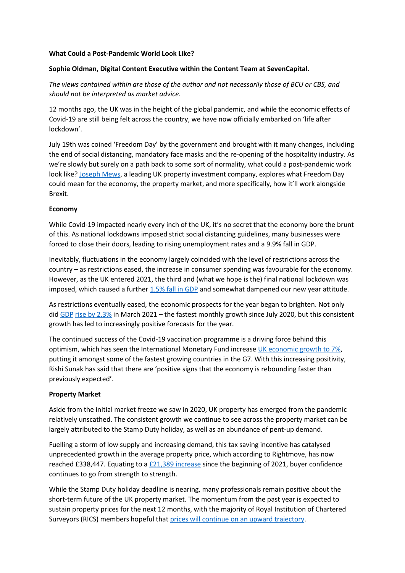#### **What Could a Post-Pandemic World Look Like?**

# **Sophie Oldman, Digital Content Executive within the Content Team at SevenCapital.**

*The views contained within are those of the author and not necessarily those of BCU or CBS, and should not be interpreted as market advice*.

12 months ago, the UK was in the height of the global pandemic, and while the economic effects of Covid-19 are still being felt across the country, we have now officially embarked on 'life after lockdown'.

July 19th was coined 'Freedom Day' by the government and brought with it many changes, including the end of social distancing, mandatory face masks and the re-opening of the hospitality industry. As we're slowly but surely on a path back to some sort of normality, what could a post-pandemic work look like? [Joseph Mews,](https://joseph-mews.com/?utm_medium=organic&utm_source=online%20feature&utm_campaign=ahead%20of%20the%20market%20&utm_content=bcu%20cbs%20backlink) a leading UK property investment company, explores what Freedom Day could mean for the economy, the property market, and more specifically, how it'll work alongside Brexit.

## **Economy**

While Covid-19 impacted nearly every inch of the UK, it's no secret that the economy bore the brunt of this. As national lockdowns imposed strict social distancing guidelines, many businesses were forced to close their doors, leading to rising unemployment rates and a 9.9% fall in GDP.

Inevitably, fluctuations in the economy largely coincided with the level of restrictions across the country – as restrictions eased, the increase in consumer spending was favourable for the economy. However, as the UK entered 2021, the third and (what we hope is the) final national lockdown was imposed, which caused a further [1.5% fall in GDP](https://www.cbre.co.uk/research-and-reports/UK-Market-Outlook-Midyear-Review-2021) and somewhat dampened our new year attitude.

As restrictions eventually eased, the economic prospects for the year began to brighten. Not only did [GDP](https://www.cbre.co.uk/research-and-reports/UK-Market-Outlook-Midyear-Review-2021) [rise by 2.3%](https://www.cbre.co.uk/research-and-reports/UK-Market-Outlook-Midyear-Review-2021) in March 2021 – the fastest monthly growth since July 2020, but this consistent growth has led to increasingly positive forecasts for the year.

The continued success of the Covid-19 vaccination programme is a driving force behind this optimism, which has seen the International Monetary Fund increase [UK economic growth to 7%,](https://www.bbc.co.uk/news/business-57987091) putting it amongst some of the fastest growing countries in the G7. With this increasing positivity, Rishi Sunak has said that there are 'positive signs that the economy is rebounding faster than previously expected'.

#### **Property Market**

Aside from the initial market freeze we saw in 2020, UK property has emerged from the pandemic relatively unscathed. The consistent growth we continue to see across the property market can be largely attributed to the Stamp Duty holiday, as well as an abundance of pent-up demand.

Fuelling a storm of low supply and increasing demand, this tax saving incentive has catalysed unprecedented growth in the average property price, which according to Rightmove, has now reached £338,447. Equating to a  $E21,389$  increase since the beginning of 2021, buyer confidence continues to go from strength to strength.

While the Stamp Duty holiday deadline is nearing, many professionals remain positive about the short-term future of the UK property market. The momentum from the past year is expected to sustain property prices for the next 12 months, with the majority of Royal Institution of Chartered Surveyors (RICS) members hopeful that [prices will continue on an upward trajectory.](https://www.bbc.co.uk/news/business-57754558)